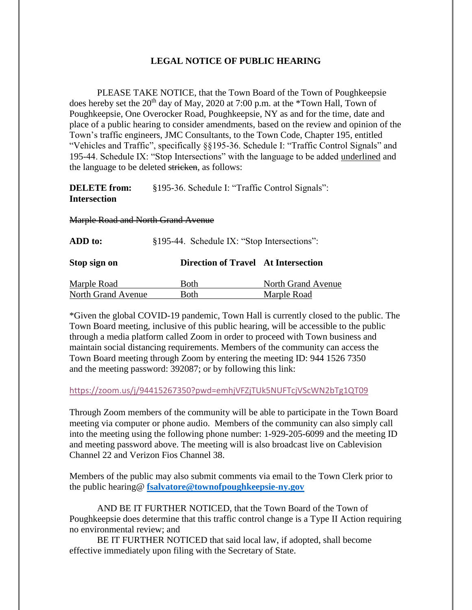## **LEGAL NOTICE OF PUBLIC HEARING**

PLEASE TAKE NOTICE, that the Town Board of the Town of Poughkeepsie does hereby set the  $20<sup>th</sup>$  day of May, 2020 at 7:00 p.m. at the \*Town Hall, Town of Poughkeepsie, One Overocker Road, Poughkeepsie, NY as and for the time, date and place of a public hearing to consider amendments, based on the review and opinion of the Town's traffic engineers, JMC Consultants, to the Town Code, Chapter 195, entitled "Vehicles and Traffic", specifically §§195-36. Schedule I: "Traffic Control Signals" and 195-44. Schedule IX: "Stop Intersections" with the language to be added underlined and the language to be deleted stricken, as follows:

**DELETE** from: §195-36. Schedule I: "Traffic Control Signals": **Intersection**

Marple Road and North Grand Avenue

| ADD to:                   | §195-44. Schedule IX: "Stop Intersections": |                    |
|---------------------------|---------------------------------------------|--------------------|
| Stop sign on              | Direction of Travel At Intersection         |                    |
| Marple Road               | <b>Both</b>                                 | North Grand Avenue |
| <b>North Grand Avenue</b> | Both                                        | Marple Road        |

\*Given the global COVID-19 pandemic, Town Hall is currently closed to the public. The Town Board meeting, inclusive of this public hearing, will be accessible to the public through a media platform called Zoom in order to proceed with Town business and maintain social distancing requirements. Members of the community can access the Town Board meeting through Zoom by entering the meeting ID: 944 1526 7350 and the meeting password: 392087; or by following this link:

## <https://zoom.us/j/94415267350?pwd=emhjVFZjTUk5NUFTcjVScWN2bTg1QT09>

Through Zoom members of the community will be able to participate in the Town Board meeting via computer or phone audio. Members of the community can also simply call into the meeting using the following phone number: 1-929-205-6099 and the meeting ID and meeting password above. The meeting will is also broadcast live on Cablevision Channel 22 and Verizon Fios Channel 38.

Members of the public may also submit comments via email to the Town Clerk prior to the public hearing@ **[fsalvatore@townofpoughkeepsie-ny.gov](mailto:fsalvatore@townofpoughkeepsie-ny.gov)**

AND BE IT FURTHER NOTICED, that the Town Board of the Town of Poughkeepsie does determine that this traffic control change is a Type II Action requiring no environmental review; and

BE IT FURTHER NOTICED that said local law, if adopted, shall become effective immediately upon filing with the Secretary of State.